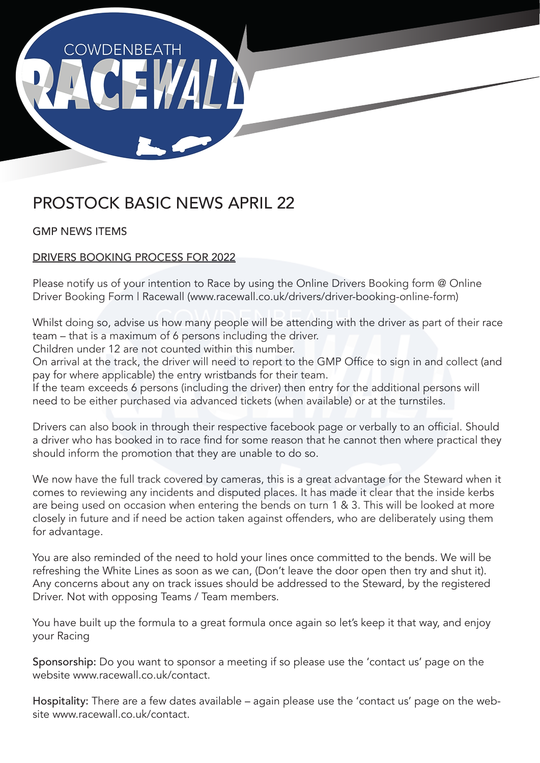

# PROSTOCK BASIC NEWS APRIL 22

GMP NEWS ITEMS

# DRIVERS BOOKING PROCESS FOR 2022

Please notify us of your intention to Race by using the Online Drivers Booking form @ Online Driver Booking Form | Racewall (www.racewall.co.uk/drivers/driver-booking-online-form)

Whilst doing so, advise us how many people will be attending with the driver as part of their race team – that is a maximum of 6 persons including the driver.

Children under 12 are not counted within this number.

On arrival at the track, the driver will need to report to the GMP Office to sign in and collect (and pay for where applicable) the entry wristbands for their team.

If the team exceeds 6 persons (including the driver) then entry for the additional persons will need to be either purchased via advanced tickets (when available) or at the turnstiles.

Drivers can also book in through their respective facebook page or verbally to an official. Should a driver who has booked in to race find for some reason that he cannot then where practical they should inform the promotion that they are unable to do so.

We now have the full track covered by cameras, this is a great advantage for the Steward when it comes to reviewing any incidents and disputed places. It has made it clear that the inside kerbs are being used on occasion when entering the bends on turn 1 & 3. This will be looked at more closely in future and if need be action taken against offenders, who are deliberately using them for advantage.

You are also reminded of the need to hold your lines once committed to the bends. We will be refreshing the White Lines as soon as we can, (Don't leave the door open then try and shut it). Any concerns about any on track issues should be addressed to the Steward, by the registered Driver. Not with opposing Teams / Team members.

You have built up the formula to a great formula once again so let's keep it that way, and enjoy your Racing

Sponsorship: Do you want to sponsor a meeting if so please use the 'contact us' page on the website www.racewall.co.uk/contact.

Hospitality: There are a few dates available – again please use the 'contact us' page on the website www.racewall.co.uk/contact.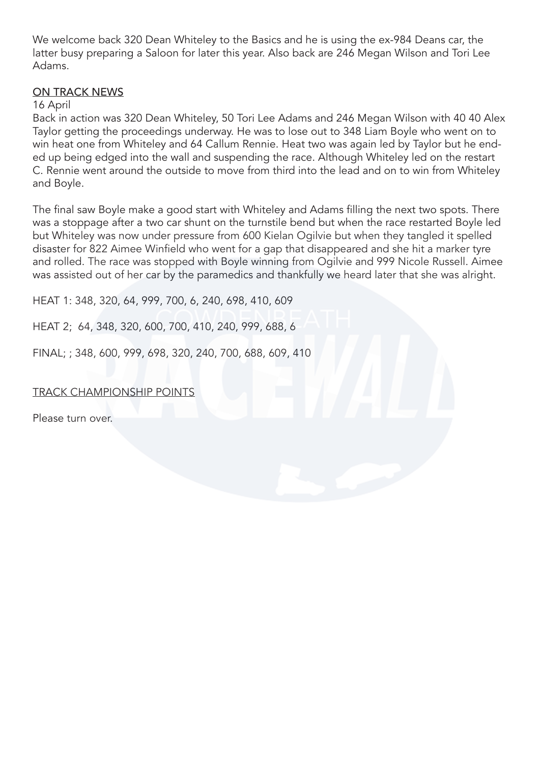We welcome back 320 Dean Whiteley to the Basics and he is using the ex-984 Deans car, the latter busy preparing a Saloon for later this year. Also back are 246 Megan Wilson and Tori Lee Adams.

### ON TRACK NEWS

#### 16 April

Back in action was 320 Dean Whiteley, 50 Tori Lee Adams and 246 Megan Wilson with 40 40 Alex Taylor getting the proceedings underway. He was to lose out to 348 Liam Boyle who went on to win heat one from Whiteley and 64 Callum Rennie. Heat two was again led by Taylor but he ended up being edged into the wall and suspending the race. Although Whiteley led on the restart C. Rennie went around the outside to move from third into the lead and on to win from Whiteley and Boyle.

The final saw Boyle make a good start with Whiteley and Adams filling the next two spots. There was a stoppage after a two car shunt on the turnstile bend but when the race restarted Boyle led but Whiteley was now under pressure from 600 Kielan Ogilvie but when they tangled it spelled disaster for 822 Aimee Winfield who went for a gap that disappeared and she hit a marker tyre and rolled. The race was stopped with Boyle winning from Ogilvie and 999 Nicole Russell. Aimee was assisted out of her car by the paramedics and thankfully we heard later that she was alright.

HEAT 1: 348, 320, 64, 999, 700, 6, 240, 698, 410, 609

HEAT 2; 64, 348, 320, 600, 700, 410, 240, 999, 688, 6

FINAL; ; 348, 600, 999, 698, 320, 240, 700, 688, 609, 410

#### TRACK CHAMPIONSHIP POINTS

Please turn over.